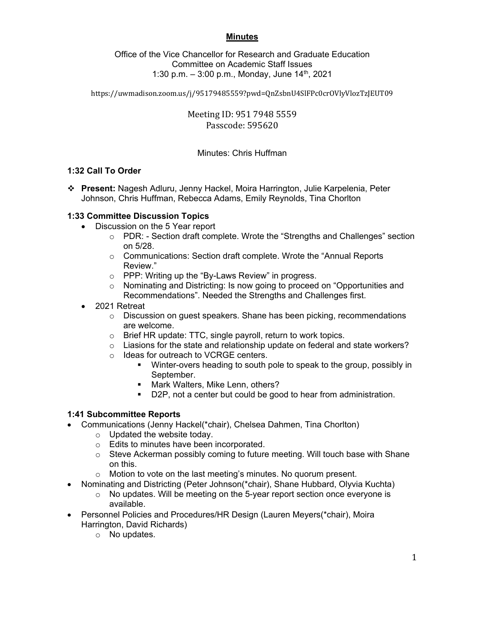#### **Minutes**

Office of the Vice Chancellor for Research and Graduate Education Committee on Academic Staff Issues 1:30 p.m.  $-$  3:00 p.m., Monday, June 14<sup>th</sup>, 2021

https://uwmadison.zoom.us/j/95179485559?pwd=QnZsbnU4SlFPc0crOVlyVlozTzJEUT09

Meeting ID: 951 7948 5559 Passcode: 595620

## Minutes: Chris Huffman

#### **1:32 Call To Order**

 **Present:** Nagesh Adluru, Jenny Hackel, Moira Harrington, Julie Karpelenia, Peter Johnson, Chris Huffman, Rebecca Adams, Emily Reynolds, Tina Chorlton

#### **1:33 Committee Discussion Topics**

- Discussion on the 5 Year report
	- $\circ$  PDR: Section draft complete. Wrote the "Strengths and Challenges" section on 5/28.
	- o Communications: Section draft complete. Wrote the "Annual Reports Review."
	- o PPP: Writing up the "By-Laws Review" in progress.
	- $\circ$  Nominating and Districting: Is now going to proceed on "Opportunities and Recommendations". Needed the Strengths and Challenges first.
- 2021 Retreat
	- $\circ$  Discussion on guest speakers. Shane has been picking, recommendations are welcome.
	- o Brief HR update: TTC, single payroll, return to work topics.
	- $\circ$  Liasions for the state and relationship update on federal and state workers?
	- o Ideas for outreach to VCRGE centers.
		- Winter-overs heading to south pole to speak to the group, possibly in September.
		- **Mark Walters, Mike Lenn, others?**
		- D2P, not a center but could be good to hear from administration.

#### **1:41 Subcommittee Reports**

- Communications (Jenny Hackel(\*chair), Chelsea Dahmen, Tina Chorlton)
	- o Updated the website today.
	- o Edits to minutes have been incorporated.
	- $\circ$  Steve Ackerman possibly coming to future meeting. Will touch base with Shane on this.
	- o Motion to vote on the last meeting's minutes. No quorum present.
- Nominating and Districting (Peter Johnson(\*chair), Shane Hubbard, Olyvia Kuchta)
	- $\circ$  No updates. Will be meeting on the 5-year report section once everyone is available.
- Personnel Policies and Procedures/HR Design (Lauren Meyers(\*chair), Moira Harrington, David Richards)
	- o No updates.